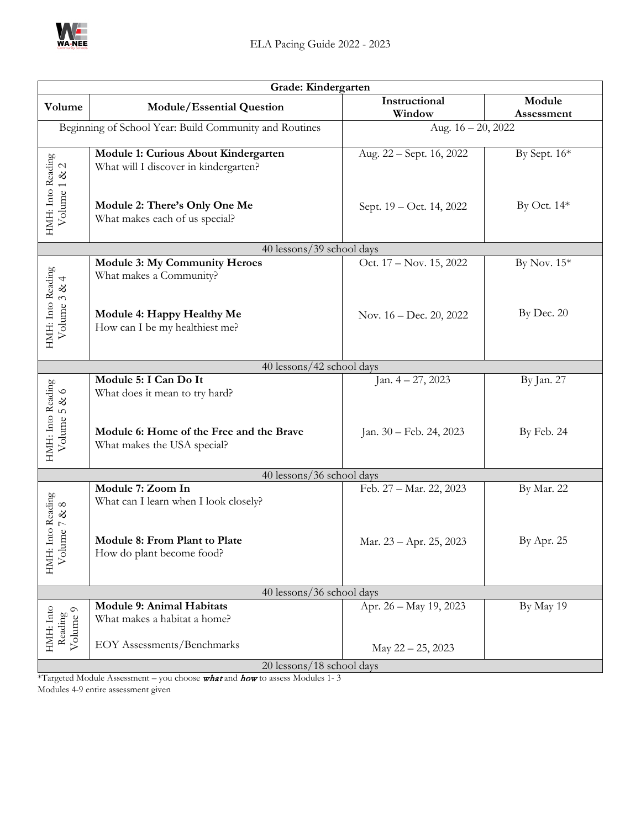

| Grade: Kindergarten                                    |                                                                               |                          |                      |  |
|--------------------------------------------------------|-------------------------------------------------------------------------------|--------------------------|----------------------|--|
| Volume                                                 | Module/Essential Question                                                     | Instructional<br>Window  | Module<br>Assessment |  |
| Beginning of School Year: Build Community and Routines |                                                                               | Aug. 16 - 20, 2022       |                      |  |
|                                                        | Module 1: Curious About Kindergarten<br>What will I discover in kindergarten? | Aug. 22 – Sept. 16, 2022 | By Sept. 16*         |  |
| HMH: Into Reading<br>Volume 1 & 2                      | Module 2: There's Only One Me<br>What makes each of us special?               | Sept. 19 - Oct. 14, 2022 | By Oct. 14*          |  |
|                                                        | 40 lessons/39 school days                                                     |                          |                      |  |
|                                                        | <b>Module 3: My Community Heroes</b><br>What makes a Community?               | Oct. 17 – Nov. 15, 2022  | By Nov. $15*$        |  |
| HMH: Into Reading<br>Volume 3 & 4                      | Module 4: Happy Healthy Me<br>How can I be my healthiest me?                  | Nov. 16 – Dec. 20, 2022  | By Dec. 20           |  |
|                                                        | 40 lessons/42 school days                                                     |                          |                      |  |
|                                                        | Module 5: I Can Do It<br>What does it mean to try hard?                       | Jan. $4 - 27$ , 2023     | By Jan. 27           |  |
| HMH: Into Reading<br>Volume 5 & 6                      | Module 6: Home of the Free and the Brave<br>What makes the USA special?       | Jan. 30 - Feb. 24, 2023  | By Feb. 24           |  |
| 40 lessons/36 school days                              |                                                                               |                          |                      |  |
| Into Reading                                           | Module 7: Zoom In<br>What can I learn when I look closely?                    | Feb. 27 - Mar. 22, 2023  | By Mar. 22           |  |
| HMH: Into Readin<br>Volume 7 & 8                       | Module 8: From Plant to Plate<br>How do plant become food?                    | Mar. 23 - Apr. 25, 2023  | By Apr. 25           |  |
| 40 lessons/36 school days                              |                                                                               |                          |                      |  |
| HMH: Into<br>Volume 9<br>Reading                       | Module 9: Animal Habitats<br>What makes a habitat a home?                     | Apr. 26 - May 19, 2023   | By May 19            |  |
|                                                        | <b>EOY Assessments/Benchmarks</b>                                             | May 22 - 25, 2023        |                      |  |
| 20 lessons/18 school days                              |                                                                               |                          |                      |  |

\*Targeted Module Assessment – you choose what and how to assess Modules 1- 3 Modules 4-9 entire assessment given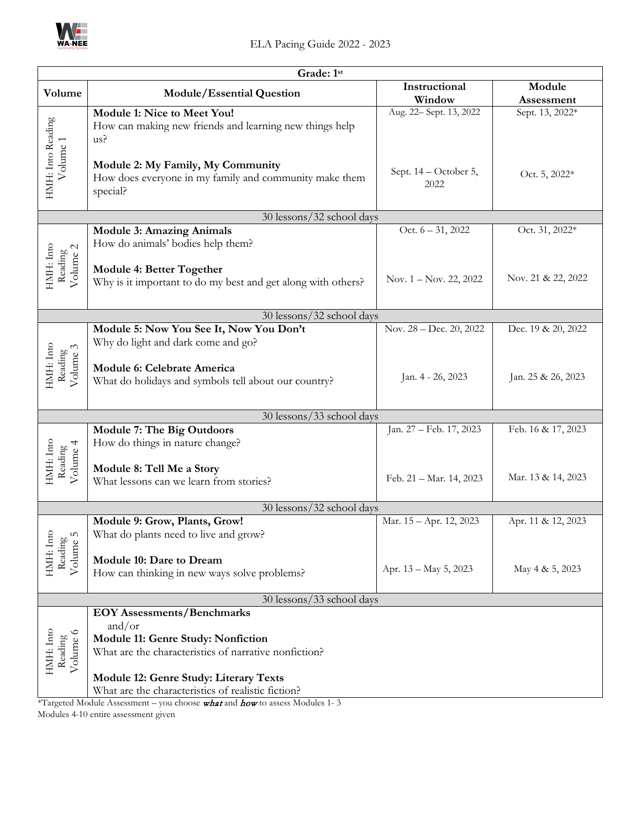

| Grade: 1st                                                                 |                                                                                                                                                   |                               |                    |
|----------------------------------------------------------------------------|---------------------------------------------------------------------------------------------------------------------------------------------------|-------------------------------|--------------------|
| Volume                                                                     | Module/Essential Question                                                                                                                         | Instructional                 | Module             |
|                                                                            |                                                                                                                                                   | Window                        | Assessment         |
|                                                                            | Module 1: Nice to Meet You!<br>How can making new friends and learning new things help<br>us?                                                     | Aug. 22- Sept. 13, 2022       | Sept. 13, 2022*    |
| HMH: Into Reading<br>Volume 1                                              | Module 2: My Family, My Community<br>How does everyone in my family and community make them<br>special?                                           | Sept. 14 - October 5,<br>2022 | Oct. 5, 2022*      |
|                                                                            | 30 lessons/32 school days                                                                                                                         |                               |                    |
| HMH: Into<br>$\begin{array}{c} \rm{Reading}\\ \rm{Volume} \ 2 \end{array}$ | <b>Module 3: Amazing Animals</b><br>How do animals' bodies help them?                                                                             | Oct. $6 - 31, 2022$           | Oct. 31, 2022*     |
|                                                                            | Module 4: Better Together<br>Why is it important to do my best and get along with others?                                                         | Nov. $1 -$ Nov. 22, 2022      | Nov. 21 & 22, 2022 |
|                                                                            | 30 lessons/32 school days                                                                                                                         |                               |                    |
|                                                                            | Module 5: Now You See It, Now You Don't<br>Why do light and dark come and go?                                                                     | Nov. 28 – Dec. 20, 2022       | Dec. 19 & 20, 2022 |
| HMH: Into<br>Reading<br>Volume 3                                           | Module 6: Celebrate America<br>What do holidays and symbols tell about our country?                                                               | Jan. 4 - 26, 2023             | Jan. 25 & 26, 2023 |
|                                                                            | 30 lessons/33 school days                                                                                                                         |                               |                    |
|                                                                            | <b>Module 7: The Big Outdoors</b><br>How do things in nature change?                                                                              | Jan. 27 - Feb. 17, 2023       | Feb. 16 & 17, 2023 |
| HMH: Into<br>Reading<br>Volume 4                                           | Module 8: Tell Me a Story<br>What lessons can we learn from stories?                                                                              | Feb. 21 - Mar. 14, 2023       | Mar. 13 & 14, 2023 |
|                                                                            | 30 lessons/32 school days                                                                                                                         |                               |                    |
| Reading<br>Volume 5<br>HMH: Inte                                           | Module 9: Grow, Plants, Grow!<br>What do plants need to live and grow?                                                                            | Mar. 15 - Apr. 12, 2023       | Apr. 11 & 12, 2023 |
|                                                                            | Module 10: Dare to Dream<br>How can thinking in new ways solve problems?                                                                          | Apr. 13 - May 5, 2023         | May 4 & 5, 2023    |
| 30 lessons/33 school days                                                  |                                                                                                                                                   |                               |                    |
| HMH: Into<br>Volume 6<br>Reading                                           | <b>EOY Assessments/Benchmarks</b><br>and/or<br><b>Module 11: Genre Study: Nonfiction</b><br>What are the characteristics of narrative nonfiction? |                               |                    |
|                                                                            | Module 12: Genre Study: Literary Texts<br>What are the characteristics of realistic fiction?                                                      |                               |                    |
|                                                                            | *Targeted Module Assessment - you choose what and how to assess Modules 1-3                                                                       |                               |                    |

Modules 4-10 entire assessment given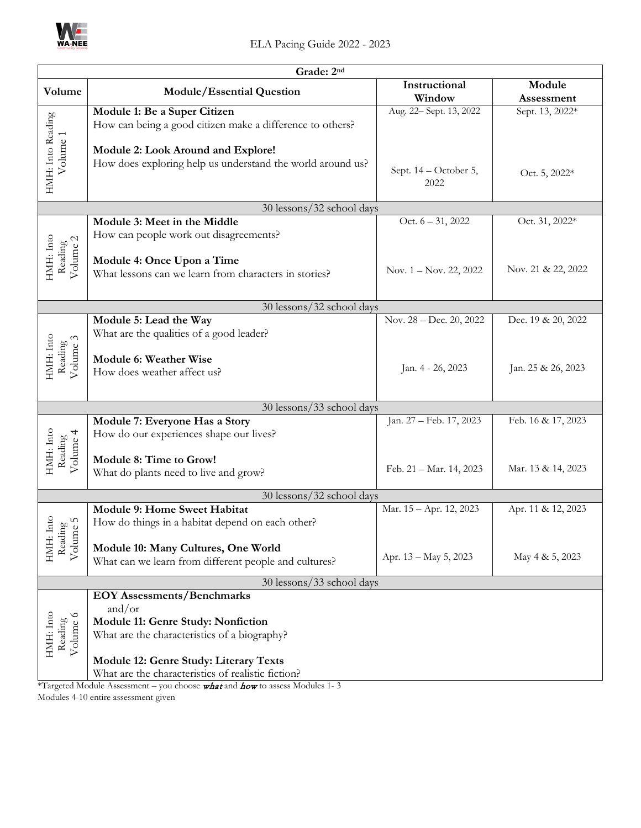

| Grade: 2nd                        |                                                                                              |                         |                    |
|-----------------------------------|----------------------------------------------------------------------------------------------|-------------------------|--------------------|
| Volume                            | Module/Essential Question                                                                    | Instructional           | Module             |
|                                   |                                                                                              | Window                  | Assessment         |
|                                   | Module 1: Be a Super Citizen                                                                 | Aug. 22- Sept. 13, 2022 | Sept. 13, 2022*    |
|                                   | How can being a good citizen make a difference to others?                                    |                         |                    |
|                                   |                                                                                              |                         |                    |
|                                   | Module 2: Look Around and Explore!                                                           |                         |                    |
| HMH: Into Reading<br>Volume 1     | How does exploring help us understand the world around us?                                   | Sept. 14 - October 5,   | Oct. 5, 2022*      |
|                                   |                                                                                              | 2022                    |                    |
|                                   |                                                                                              |                         |                    |
|                                   | 30 lessons/32 school days                                                                    |                         |                    |
|                                   | Module 3: Meet in the Middle                                                                 | Oct. $6 - 31, 2022$     | Oct. 31, 2022*     |
|                                   | How can people work out disagreements?                                                       |                         |                    |
| HMH: Into<br>Reading<br>Volume 2  |                                                                                              |                         |                    |
|                                   | Module 4: Once Upon a Time<br>What lessons can we learn from characters in stories?          | Nov. 1 – Nov. 22, 2022  | Nov. 21 & 22, 2022 |
|                                   |                                                                                              |                         |                    |
|                                   |                                                                                              |                         |                    |
|                                   | 30 lessons/32 school days                                                                    |                         |                    |
|                                   | Module 5: Lead the Way                                                                       | Nov. 28 - Dec. 20, 2022 | Dec. 19 & 20, 2022 |
|                                   | What are the qualities of a good leader?                                                     |                         |                    |
| HMH: Into<br>Volume 3<br>Reading  | Module 6: Weather Wise                                                                       |                         |                    |
|                                   | How does weather affect us?                                                                  | Jan. 4 - 26, 2023       | Jan. 25 & 26, 2023 |
|                                   |                                                                                              |                         |                    |
|                                   |                                                                                              |                         |                    |
|                                   | 30 lessons/33 school days                                                                    |                         |                    |
|                                   | Module 7: Everyone Has a Story                                                               | Jan. 27 - Feb. 17, 2023 | Feb. 16 & 17, 2023 |
|                                   | How do our experiences shape our lives?                                                      |                         |                    |
| HMH: Into<br>Volume 4<br>Reading  | Module 8: Time to Grow!                                                                      |                         |                    |
|                                   | What do plants need to live and grow?                                                        | Feb. 21 - Mar. 14, 2023 | Mar. 13 & 14, 2023 |
|                                   |                                                                                              |                         |                    |
| 30 lessons/32 school days         |                                                                                              |                         |                    |
|                                   | <b>Module 9: Home Sweet Habitat</b>                                                          | Mar. 15 - Apr. 12, 2023 | Apr. 11 & 12, 2023 |
| Into<br>S<br>ρg<br>$\mathbf{Q}$   | How do things in a habitat depend on each other?                                             |                         |                    |
| Readi<br>Volum                    |                                                                                              |                         |                    |
| HMH:                              | Module 10: Many Cultures, One World                                                          | Apr. 13 - May 5, 2023   | May 4 & 5, 2023    |
|                                   | What can we learn from different people and cultures?                                        |                         |                    |
| 30 lessons/33 school days         |                                                                                              |                         |                    |
| <b>EOY Assessments/Benchmarks</b> |                                                                                              |                         |                    |
| HMH: Into<br>Volume 6<br>Reading  | and/or                                                                                       |                         |                    |
|                                   | <b>Module 11: Genre Study: Nonfiction</b>                                                    |                         |                    |
|                                   | What are the characteristics of a biography?                                                 |                         |                    |
|                                   |                                                                                              |                         |                    |
|                                   | Module 12: Genre Study: Literary Texts<br>What are the characteristics of realistic fiction? |                         |                    |
|                                   | *Targeted Module Assessment - you choose what and how to assess Modules 1-3                  |                         |                    |

Modules 4-10 entire assessment given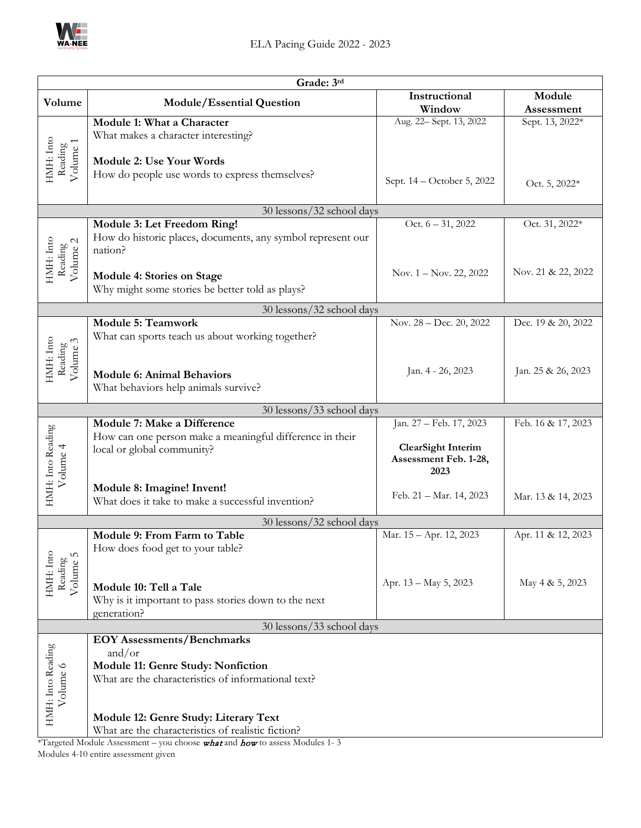

| Grade: 3rd                                                                 |                                                                                |                                   |                               |
|----------------------------------------------------------------------------|--------------------------------------------------------------------------------|-----------------------------------|-------------------------------|
| Volume                                                                     | <b>Module/Essential Question</b>                                               | Instructional                     | Module                        |
|                                                                            | Module 1: What a Character                                                     | Window<br>Aug. 22- Sept. 13, 2022 | Assessment<br>Sept. 13, 2022* |
|                                                                            | What makes a character interesting?                                            |                                   |                               |
|                                                                            |                                                                                |                                   |                               |
|                                                                            | <b>Module 2: Use Your Words</b>                                                |                                   |                               |
| HMH: Into<br>Reading<br>Volume 1                                           | How do people use words to express themselves?                                 | Sept. 14 – October 5, 2022        | Oct. 5, 2022*                 |
|                                                                            |                                                                                |                                   |                               |
|                                                                            | 30 lessons/32 school days                                                      |                                   |                               |
|                                                                            | Module 3: Let Freedom Ring!                                                    | Oct. $6 - 31, 2022$               | Oct. 31, 2022*                |
|                                                                            | How do historic places, documents, any symbol represent our                    |                                   |                               |
|                                                                            | nation?                                                                        |                                   |                               |
| HMH: Into<br>$\begin{array}{c} \rm{Reading}\\ \rm{Volume} \ 2 \end{array}$ | Module 4: Stories on Stage                                                     | Nov. $1 -$ Nov. 22, 2022          | Nov. 21 & 22, 2022            |
|                                                                            | Why might some stories be better told as plays?                                |                                   |                               |
|                                                                            | 30 lessons/32 school days                                                      |                                   |                               |
|                                                                            | <b>Module 5: Teamwork</b>                                                      | Nov. 28 - Dec. 20, 2022           | Dec. 19 & 20, 2022            |
|                                                                            | What can sports teach us about working together?                               |                                   |                               |
| HMH: Into<br>Reading<br>Volume 3                                           |                                                                                |                                   |                               |
|                                                                            | <b>Module 6: Animal Behaviors</b>                                              | Jan. 4 - 26, 2023                 | Jan. 25 & 26, 2023            |
|                                                                            | What behaviors help animals survive?                                           |                                   |                               |
|                                                                            |                                                                                |                                   |                               |
|                                                                            | 30 lessons/33 school days<br>Module 7: Make a Difference                       | Jan. 27 - Feb. 17, 2023           | Feb. 16 & 17, 2023            |
|                                                                            | How can one person make a meaningful difference in their                       |                                   |                               |
|                                                                            | local or global community?                                                     | <b>ClearSight Interim</b>         |                               |
|                                                                            |                                                                                | Assessment Feb. 1-28,<br>2023     |                               |
| Volume 4                                                                   | Module 8: Imagine! Invent!                                                     |                                   |                               |
| HMH: Into Reading                                                          | What does it take to make a successful invention?                              | Feb. 21 - Mar. 14, 2023           | Mar. 13 & 14, 2023            |
|                                                                            |                                                                                |                                   |                               |
|                                                                            | 30 lessons/32 school days<br>Module 9: From Farm to Table                      | Mar. 15 - Apr. 12, 2023           | Apr. 11 & 12, 2023            |
|                                                                            | How does food get to your table?                                               |                                   |                               |
|                                                                            |                                                                                |                                   |                               |
| HMH: Into<br>Volume 5<br>Reading                                           |                                                                                | Apr. 13 - May 5, 2023             | May 4 & 5, 2023               |
|                                                                            | Module 10: Tell a Tale<br>Why is it important to pass stories down to the next |                                   |                               |
|                                                                            | generation?                                                                    |                                   |                               |
| 30 lessons/33 school days                                                  |                                                                                |                                   |                               |
|                                                                            | <b>EOY Assessments/Benchmarks</b>                                              |                                   |                               |
|                                                                            | and/or<br>Module 11: Genre Study: Nonfiction                                   |                                   |                               |
| What are the characteristics of informational text?                        |                                                                                |                                   |                               |
| HMH: Into Reading<br>Volume 6                                              |                                                                                |                                   |                               |
|                                                                            |                                                                                |                                   |                               |
|                                                                            | Module 12: Genre Study: Literary Text                                          |                                   |                               |
|                                                                            | What are the characteristics of realistic fiction?                             |                                   |                               |

\*Targeted Module Assessment – you choose  $\boldsymbol{\mathrm{what}}$  and  $\boldsymbol{\mathrm{how}}$  to assess Modules 1-3 Modules 4-10 entire assessment given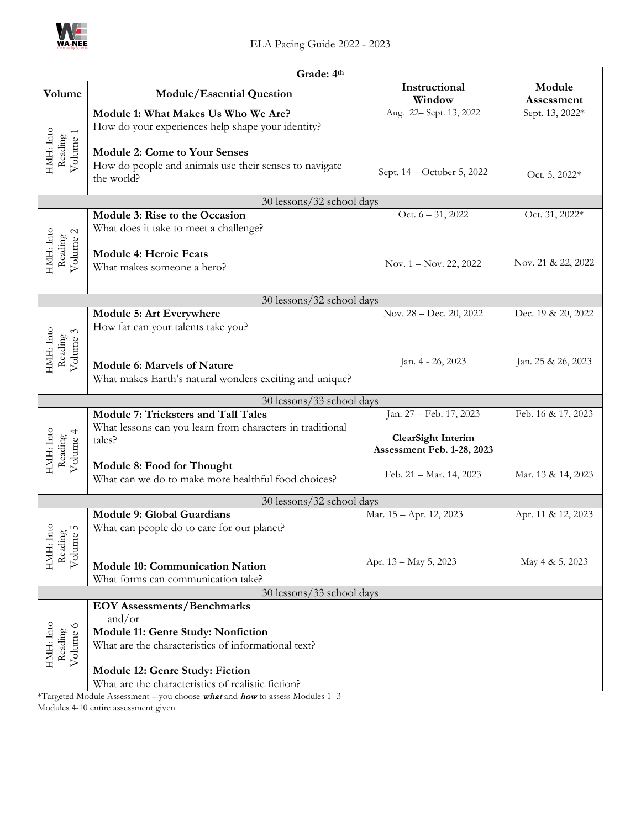

|                                             | Grade: 4th                                                                        |                                                         |                    |  |
|---------------------------------------------|-----------------------------------------------------------------------------------|---------------------------------------------------------|--------------------|--|
| Volume                                      | <b>Module/Essential Question</b>                                                  | Instructional                                           | Module             |  |
|                                             |                                                                                   | Window                                                  | Assessment         |  |
|                                             | Module 1: What Makes Us Who We Are?                                               | Aug. 22-Sept. 13, 2022                                  | Sept. 13, 2022*    |  |
|                                             | How do your experiences help shape your identity?                                 |                                                         |                    |  |
|                                             |                                                                                   |                                                         |                    |  |
| HMH: Into<br>Volume 1<br>Reading            | <b>Module 2: Come to Your Senses</b>                                              |                                                         |                    |  |
|                                             | How do people and animals use their senses to navigate                            | Sept. 14 – October 5, 2022                              | Oct. 5, 2022*      |  |
|                                             | the world?                                                                        |                                                         |                    |  |
|                                             | 30 lessons/32 school days                                                         |                                                         |                    |  |
|                                             | Module 3: Rise to the Occasion                                                    | Oct. $6 - 31$ , 2022                                    | Oct. 31, 2022*     |  |
|                                             | What does it take to meet a challenge?                                            |                                                         |                    |  |
| HMH: Into<br>Volume <sub>2</sub><br>Reading |                                                                                   |                                                         |                    |  |
|                                             | <b>Module 4: Heroic Feats</b>                                                     |                                                         | Nov. 21 & 22, 2022 |  |
|                                             | What makes someone a hero?                                                        | Nov. $1 -$ Nov. 22, 2022                                |                    |  |
|                                             |                                                                                   |                                                         |                    |  |
|                                             | 30 lessons/32 school days                                                         |                                                         |                    |  |
|                                             | Module 5: Art Everywhere                                                          | Nov. 28 - Dec. 20, 2022                                 | Dec. 19 & 20, 2022 |  |
|                                             | How far can your talents take you?                                                |                                                         |                    |  |
|                                             |                                                                                   |                                                         |                    |  |
| HMH: Into<br>Volume 3<br>Reading            |                                                                                   | Jan. 4 - 26, 2023                                       | Jan. 25 & 26, 2023 |  |
|                                             | Module 6: Marvels of Nature                                                       |                                                         |                    |  |
|                                             | What makes Earth's natural wonders exciting and unique?                           |                                                         |                    |  |
|                                             | 30 lessons/33 school days                                                         |                                                         |                    |  |
|                                             | <b>Module 7: Tricksters and Tall Tales</b>                                        | Jan. 27 - Feb. 17, 2023                                 | Feb. 16 & 17, 2023 |  |
|                                             | What lessons can you learn from characters in traditional                         |                                                         |                    |  |
|                                             | tales?                                                                            | <b>ClearSight Interim</b><br>Assessment Feb. 1-28, 2023 |                    |  |
| HMH: Into<br>Volume 4<br>Reading            |                                                                                   |                                                         |                    |  |
|                                             | Module 8: Food for Thought<br>What can we do to make more healthful food choices? | Feb. 21 - Mar. 14, 2023                                 | Mar. 13 & 14, 2023 |  |
|                                             |                                                                                   |                                                         |                    |  |
| 30 lessons/32 school days                   |                                                                                   |                                                         |                    |  |
|                                             | <b>Module 9: Global Guardians</b>                                                 | Mar. 15 - Apr. 12, 2023                                 | Apr. 11 & 12, 2023 |  |
| S<br>60                                     | What can people do to care for our planet?                                        |                                                         |                    |  |
| HMH: Into<br>Reading<br>Volume              |                                                                                   |                                                         |                    |  |
|                                             |                                                                                   | Apr. 13 - May 5, 2023                                   | May 4 & 5, 2023    |  |
|                                             | <b>Module 10: Communication Nation</b>                                            |                                                         |                    |  |
|                                             | What forms can communication take?<br>30 lessons/33 school days                   |                                                         |                    |  |
| <b>EOY Assessments/Benchmarks</b>           |                                                                                   |                                                         |                    |  |
|                                             | and/or                                                                            |                                                         |                    |  |
|                                             | Module 11: Genre Study: Nonfiction                                                |                                                         |                    |  |
| Volume 6<br>Reading                         | What are the characteristics of informational text?                               |                                                         |                    |  |
| HMH: Into                                   |                                                                                   |                                                         |                    |  |
|                                             | Module 12: Genre Study: Fiction                                                   |                                                         |                    |  |
|                                             | What are the characteristics of realistic fiction?                                |                                                         |                    |  |
|                                             | *Targeted Module Assessment - you choose what and how to assess Modules 1-3       |                                                         |                    |  |

Modules 4-10 entire assessment given